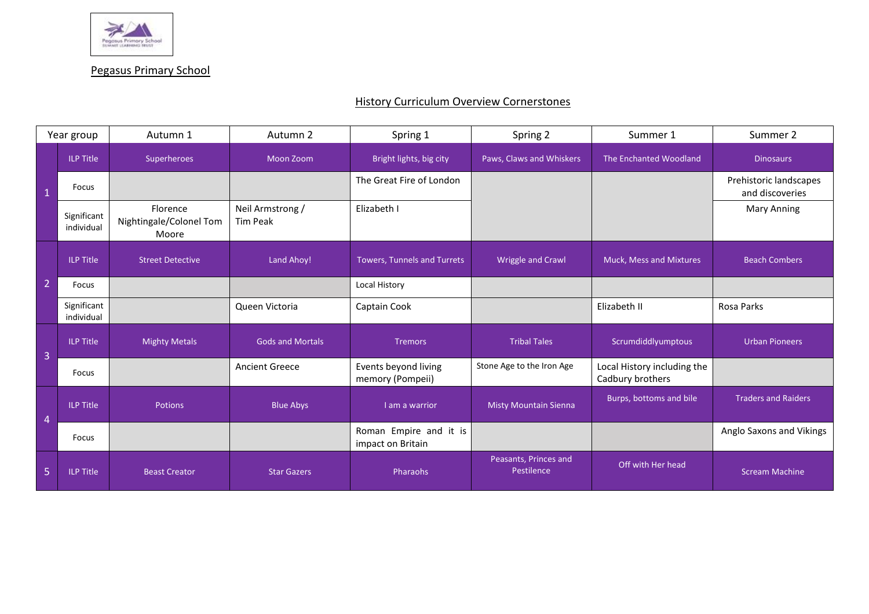

Pegasus Primary School

## **History Curriculum Overview Cornerstones**

| Year group     |                           | Autumn 1                                     | Autumn 2                     | Spring 1                                    | Spring 2                            | Summer 1                                        | Summer 2                                  |
|----------------|---------------------------|----------------------------------------------|------------------------------|---------------------------------------------|-------------------------------------|-------------------------------------------------|-------------------------------------------|
| $\overline{1}$ | <b>ILP Title</b>          | Superheroes                                  | <b>Moon Zoom</b>             | Bright lights, big city                     | Paws, Claws and Whiskers            | The Enchanted Woodland                          | <b>Dinosaurs</b>                          |
|                | Focus                     |                                              |                              | The Great Fire of London                    |                                     |                                                 | Prehistoric landscapes<br>and discoveries |
|                | Significant<br>individual | Florence<br>Nightingale/Colonel Tom<br>Moore | Neil Armstrong /<br>Tim Peak | Elizabeth I                                 |                                     |                                                 | <b>Mary Anning</b>                        |
| $\overline{2}$ | <b>ILP Title</b>          | <b>Street Detective</b>                      | Land Ahoy!                   | <b>Towers, Tunnels and Turrets</b>          | <b>Wriggle and Crawl</b>            | Muck, Mess and Mixtures                         | <b>Beach Combers</b>                      |
|                | Focus                     |                                              |                              | Local History                               |                                     |                                                 |                                           |
|                | Significant<br>individual |                                              | Queen Victoria               | Captain Cook                                |                                     | Elizabeth II                                    | Rosa Parks                                |
| $\overline{3}$ | <b>ILP Title</b>          | <b>Mighty Metals</b>                         | <b>Gods and Mortals</b>      | <b>Tremors</b>                              | <b>Tribal Tales</b>                 | Scrumdiddlyumptous                              | <b>Urban Pioneers</b>                     |
|                | Focus                     |                                              | <b>Ancient Greece</b>        | Events beyond living<br>memory (Pompeii)    | Stone Age to the Iron Age           | Local History including the<br>Cadbury brothers |                                           |
| $\overline{4}$ | <b>ILP Title</b>          | Potions                                      | <b>Blue Abys</b>             | I am a warrior                              | <b>Misty Mountain Sienna</b>        | Burps, bottoms and bile                         | <b>Traders and Raiders</b>                |
|                | Focus                     |                                              |                              | Roman Empire and it is<br>impact on Britain |                                     |                                                 | Anglo Saxons and Vikings                  |
| 5              | <b>ILP Title</b>          | <b>Beast Creator</b>                         | <b>Star Gazers</b>           | <b>Pharaohs</b>                             | Peasants, Princes and<br>Pestilence | Off with Her head                               | <b>Scream Machine</b>                     |